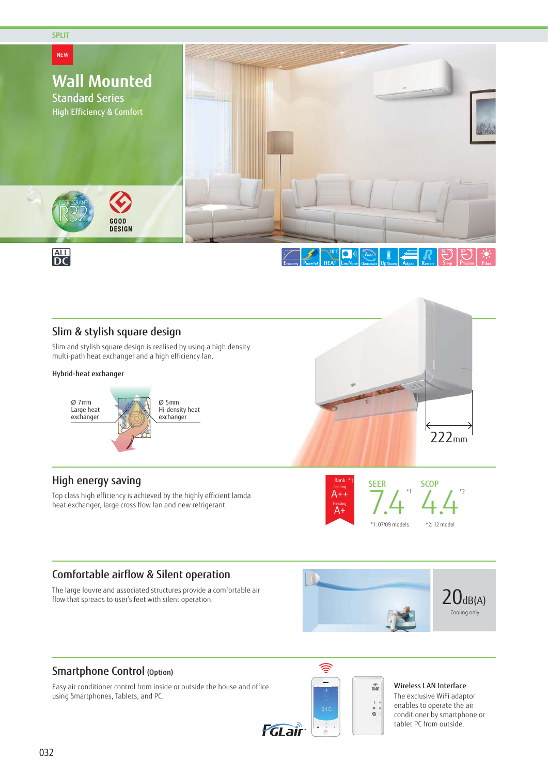

## Slim & stylish square design

Slim and stylish square design is realised by using a high density multi-path heat exchanger and a high efficiency fan.

#### Hybrid-heat exchanger



## High energy saving

Top class high efficiency is achieved by the highly efficient lamda heat exchanger, large cross flow fan and new refrigerant.





## Comfortable airflow & Silent operation

The large louvre and associated structures provide a comfortable air flow that spreads to user's feet with silent operation.



**WILAN**  $\mathbf{r}$  $^\circ_\odot$ 

## Smartphone Control (Option)

Easy air conditioner control from inside or outside the house and office using Smartphones, Tablets, and PC.



Wireless LAN Interface

The exclusive WiFi adaptor enables to operate the air conditioner by smartphone or tablet PC from outside.



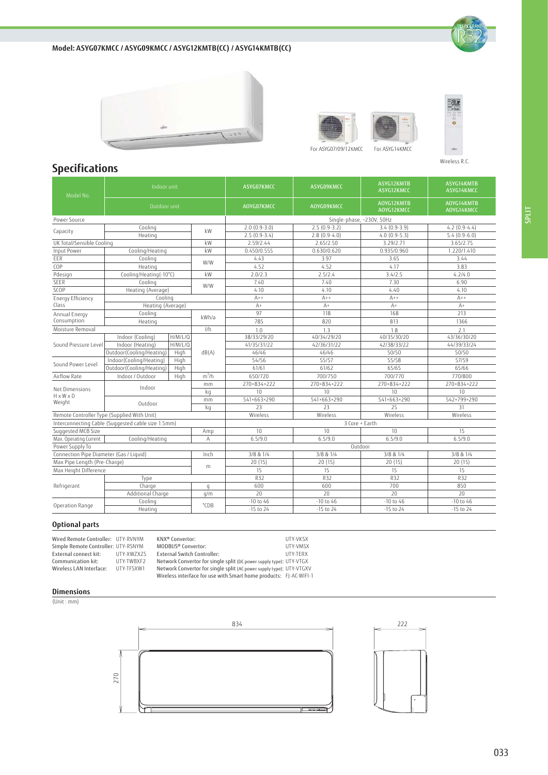**Model: ASYG07KMCC / ASYG09KMCC / ASYG12KMTB(CC) / ASYG14KMTB(CC)**









Wireless R.C.

 $-85$ 

# **Specifications**

| Model No.                                       | Indoor unit                                        |                   |              | ASYG07KMCC                | <b>ASYG09KMCC</b> | ASYG12KMTB<br>ASYG12KMCC | ASYG14KMTB<br>ASYG14KMCC |  |
|-------------------------------------------------|----------------------------------------------------|-------------------|--------------|---------------------------|-------------------|--------------------------|--------------------------|--|
|                                                 | Outdoor unit                                       |                   |              | AOYG07KMCC                | AOYG09KMCC        | AOYG12KMTB<br>AOYG12KMCC | AOYG14KMTB<br>AOYG14KMCC |  |
| Power Source                                    |                                                    |                   |              | Single-phase, ~230V, 50Hz |                   |                          |                          |  |
| Capacity                                        | Cooling                                            |                   | kW           | $2.0(0.9-3.0)$            | $2.5(0.9-3.2)$    | $3.4(0.9-3.9)$           | $4.2$ (0.9-4.4)          |  |
|                                                 | Heating                                            |                   |              | $2.5(0.9-3.4)$            | $2.8(0.9-4.0)$    | $4.0(0.9-5.3)$           | $5.4(0.9-6.0)$           |  |
| UK Total/Sensible Cooling                       |                                                    |                   | kW           | 2.59/2.44                 | 2.65/2.50         | 3.29/2.71                | 3.65/2.75                |  |
| <b>Input Power</b>                              | Cooling/Heating                                    |                   | kW           | 0.450/0.555               | 0.630/0.620       | 0.935/0.960              | 1.220/1.410              |  |
| EER                                             | Cooling<br>Heating                                 |                   | W/W          | 4.43                      | 3.97              | 3.65                     | 3.44                     |  |
| COP                                             |                                                    |                   |              | 4.52                      | 4.52              | 4.17                     | 3.83                     |  |
| Pdesign                                         | Cooling/Heating(-10°C)                             |                   | kW           | 2.0/2.3                   | 2.5/2.4           | 3.4/2.5                  | 4.2/4.0                  |  |
| <b>SEER</b>                                     | Cooling                                            | Heating (Average) |              | 7.40                      | 7.40              | 7.30                     | 6.90                     |  |
| SCOP                                            |                                                    |                   |              | 4.10                      | 4.10              | 4.40                     | 4.10                     |  |
| <b>Energy Efficiency</b>                        | Cooling                                            |                   |              | $A++$                     | $A++$             | $A++$                    | $A++$                    |  |
| Class                                           | Heating (Average)                                  |                   |              | $A+$                      | $A+$              | $A+$                     | $A+$                     |  |
| Annual Energy                                   | Cooling                                            |                   | kWh/a        | 97                        | 118               | 168                      | 213                      |  |
| Consumption                                     | Heating                                            |                   |              | 785                       | 820               | 813                      | 1366                     |  |
| Moisture Removal                                |                                                    |                   | 1/h          | 1.0                       | 1.3               | 1.8                      | 2.1                      |  |
| Sound Pressure Level                            | Indoor (Cooling)                                   | H/M/L/Q           |              | 38/33/29/20               | 40/34/29/20       | 40/35/30/20              | 43/36/30/20              |  |
|                                                 | Indoor (Heating)                                   | H/M/L/Q           | dB(A)        | 41/35/31/22               | 42/36/31/22       | 42/38/33/22              | 44/39/33/24              |  |
|                                                 | Outdoor(Cooling/Heating)                           | High              |              | 46/46                     | 46/46             | 50/50                    | 50/50                    |  |
| Sound Power Level                               | Indoor(Cooling/Heating)                            | High              |              | 54/56                     | 55/57             | 55/58                    | 57/59                    |  |
|                                                 | Outdoor(Cooling/Heating)                           | High              |              | 61/61                     | 61/62             | 65/65                    | 65/66                    |  |
| Airflow Rate                                    | Indoor / Outdoor                                   | High              | $m^3/h$      | 650/720                   | 700/750           | 700/770                  | 770/800                  |  |
|                                                 | Indoor                                             |                   | mm           | 270×834×222               | 270×834×222       | 270×834×222              | 270×834×222              |  |
| Net Dimensions<br>$H \times W \times D$         |                                                    |                   | kg           | 10                        | 10                | 10                       | 10                       |  |
| Weight                                          | Outdoor                                            |                   | mm           | 541×663×290               | 541×663×290       | 541×663×290              | 542×799×290              |  |
|                                                 |                                                    |                   | kq           | 23                        | 23                | 25                       | 31                       |  |
|                                                 | Remote Controller Type (Supplied With Unit)        |                   |              | Wireless                  | Wireless          | Wireless                 | Wireless                 |  |
|                                                 | Interconnecting Cable (Suggested cable size 1.5mm) |                   |              | 3 Core + Earth            |                   |                          |                          |  |
| Suggested MCB Size                              |                                                    |                   | Amp          | 10                        | 10                | 10                       | 15                       |  |
| Max. Operating Current                          | Cooling/Heating                                    |                   | Α            | 6.5/9.0                   | 6.5/9.0           | 6.5/9.0                  | 6.5/9.0                  |  |
| Power Supply To                                 |                                                    |                   |              | Outdoor                   |                   |                          |                          |  |
| Connection Pipe Diameter (Gas / Liquid)<br>Inch |                                                    |                   |              | 3/8 & 1/4                 | 3/8 & 1/4         | 3/8 & 1/4                | 3/8 & 1/4                |  |
| Max Pipe Length (Pre-Charge)                    |                                                    |                   |              | 20 (15)                   | 20(15)            | 20(15)                   | 20(15)                   |  |
| Max Height Difference                           |                                                    |                   | m            | 15                        | 15                | 15                       | 15                       |  |
| Refrigerant                                     | Type                                               |                   |              | <b>R32</b>                | <b>R32</b>        | <b>R32</b>               | <b>R32</b>               |  |
|                                                 | Charge                                             |                   | $\mathsf{q}$ | 600                       | 600               | 700                      | 850                      |  |
|                                                 | Additional Charge                                  |                   | q/m          | 20                        | 20                | 20                       | 20                       |  |
| Operation Range                                 | Cooling                                            |                   | °CDB         | $-10$ to 46               | $-10$ to 46       | $-10$ to 46              | $-10$ to 46              |  |
|                                                 | Heating                                            |                   |              | $-15$ to 24               | $-15$ to 24       | $-15$ to 24              | $-15$ to 24              |  |

#### **Optional parts**

Wired Remote Controller: UTY-RVNYM Simple Remote Controller: External connect kit: External connect kit:<br>Communication kit: Wireless LAN Interface: UTY-RSNYM UTY-XWZXZ5 UTY-TWBXF2 UTY-TFSXW1

KNX® Convertor: MODBUS® Convertor:

UTY-VKSX UTY-VMSX UTY-TERX UTY-VTGX UTY-VTGXV FJ-AC-WIFI-1

External Switch Controller: Network Convertor for single split (DC power supply type): Network Convertor for single split (AC power supply type): Wireless interface for use with Smart home products:

#### **Dimensions**

(Unit : mm)



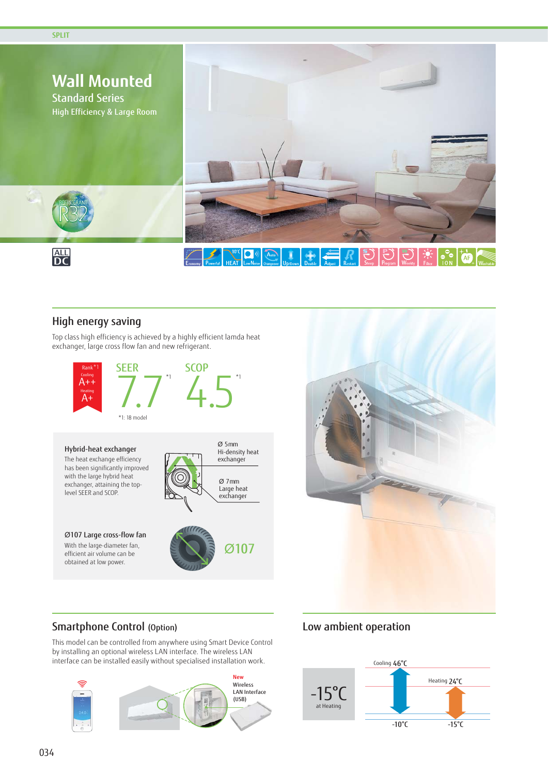

### High energy saving

Top class high efficiency is achieved by a highly efficient lamda heat exchanger, large cross flow fan and new refrigerant.





## Smartphone Control (Option)

This model can be controlled from anywhere using Smart Device Control by installing an optional wireless LAN interface. The wireless LAN interface can be installed easily without specialised installation work.



## Low ambient operation